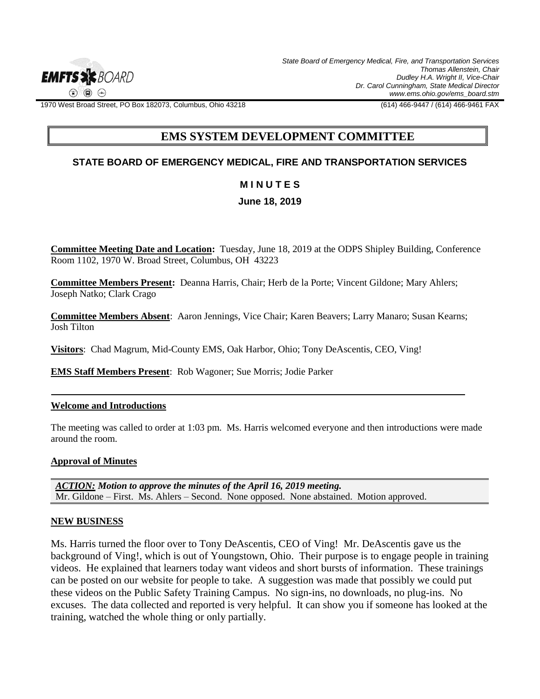

1970 West Broad Street, PO Box 182073, Columbus, Ohio 43218 (614) 466-9447 / (614) 466-9461 FAX

# **EMS SYSTEM DEVELOPMENT COMMITTEE**

## **STATE BOARD OF EMERGENCY MEDICAL, FIRE AND TRANSPORTATION SERVICES**

## **M I N U T E S**

## **June 18, 2019**

**Committee Meeting Date and Location:** Tuesday, June 18, 2019 at the ODPS Shipley Building, Conference Room 1102, 1970 W. Broad Street, Columbus, OH 43223

**Committee Members Present:** Deanna Harris, Chair; Herb de la Porte; Vincent Gildone; Mary Ahlers; Joseph Natko; Clark Crago

**Committee Members Absent**: Aaron Jennings, Vice Chair; Karen Beavers; Larry Manaro; Susan Kearns; Josh Tilton

**Visitors**: Chad Magrum, Mid-County EMS, Oak Harbor, Ohio; Tony DeAscentis, CEO, Ving!

**EMS Staff Members Present**: Rob Wagoner; Sue Morris; Jodie Parker

#### **Welcome and Introductions**

The meeting was called to order at 1:03 pm. Ms. Harris welcomed everyone and then introductions were made around the room.

#### **Approval of Minutes**

*ACTION: Motion to approve the minutes of the April 16, 2019 meeting.*  Mr. Gildone – First. Ms. Ahlers – Second. None opposed. None abstained. Motion approved.

#### **NEW BUSINESS**

Ms. Harris turned the floor over to Tony DeAscentis, CEO of Ving! Mr. DeAscentis gave us the background of Ving!, which is out of Youngstown, Ohio. Their purpose is to engage people in training videos. He explained that learners today want videos and short bursts of information. These trainings can be posted on our website for people to take. A suggestion was made that possibly we could put these videos on the Public Safety Training Campus. No sign-ins, no downloads, no plug-ins. No excuses. The data collected and reported is very helpful. It can show you if someone has looked at the training, watched the whole thing or only partially.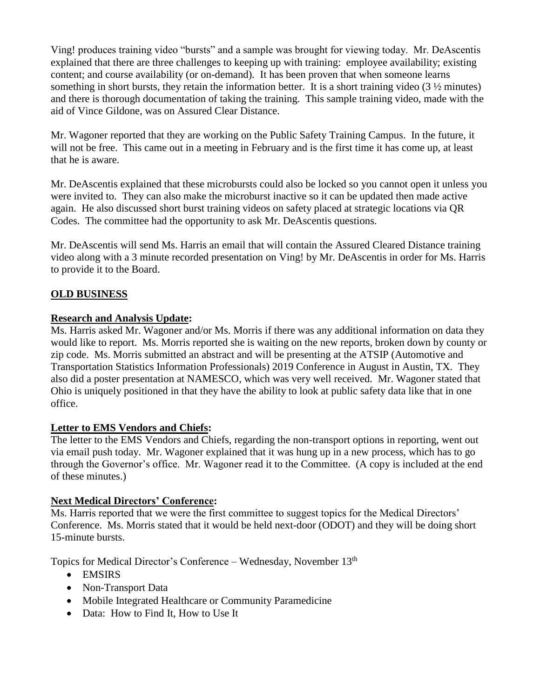Ving! produces training video "bursts" and a sample was brought for viewing today. Mr. DeAscentis explained that there are three challenges to keeping up with training: employee availability; existing content; and course availability (or on-demand). It has been proven that when someone learns something in short bursts, they retain the information better. It is a short training video (3 ½ minutes) and there is thorough documentation of taking the training. This sample training video, made with the aid of Vince Gildone, was on Assured Clear Distance.

Mr. Wagoner reported that they are working on the Public Safety Training Campus. In the future, it will not be free. This came out in a meeting in February and is the first time it has come up, at least that he is aware.

Mr. DeAscentis explained that these microbursts could also be locked so you cannot open it unless you were invited to. They can also make the microburst inactive so it can be updated then made active again. He also discussed short burst training videos on safety placed at strategic locations via QR Codes. The committee had the opportunity to ask Mr. DeAscentis questions.

Mr. DeAscentis will send Ms. Harris an email that will contain the Assured Cleared Distance training video along with a 3 minute recorded presentation on Ving! by Mr. DeAscentis in order for Ms. Harris to provide it to the Board.

# **OLD BUSINESS**

# **Research and Analysis Update:**

Ms. Harris asked Mr. Wagoner and/or Ms. Morris if there was any additional information on data they would like to report. Ms. Morris reported she is waiting on the new reports, broken down by county or zip code. Ms. Morris submitted an abstract and will be presenting at the ATSIP (Automotive and Transportation Statistics Information Professionals) 2019 Conference in August in Austin, TX. They also did a poster presentation at NAMESCO, which was very well received. Mr. Wagoner stated that Ohio is uniquely positioned in that they have the ability to look at public safety data like that in one office.

# **Letter to EMS Vendors and Chiefs:**

The letter to the EMS Vendors and Chiefs, regarding the non-transport options in reporting, went out via email push today. Mr. Wagoner explained that it was hung up in a new process, which has to go through the Governor's office. Mr. Wagoner read it to the Committee. (A copy is included at the end of these minutes.)

# **Next Medical Directors' Conference:**

Ms. Harris reported that we were the first committee to suggest topics for the Medical Directors' Conference. Ms. Morris stated that it would be held next-door (ODOT) and they will be doing short 15-minute bursts.

Topics for Medical Director's Conference - Wednesday, November 13<sup>th</sup>

- EMSIRS
- Non-Transport Data
- Mobile Integrated Healthcare or Community Paramedicine
- Data: How to Find It, How to Use It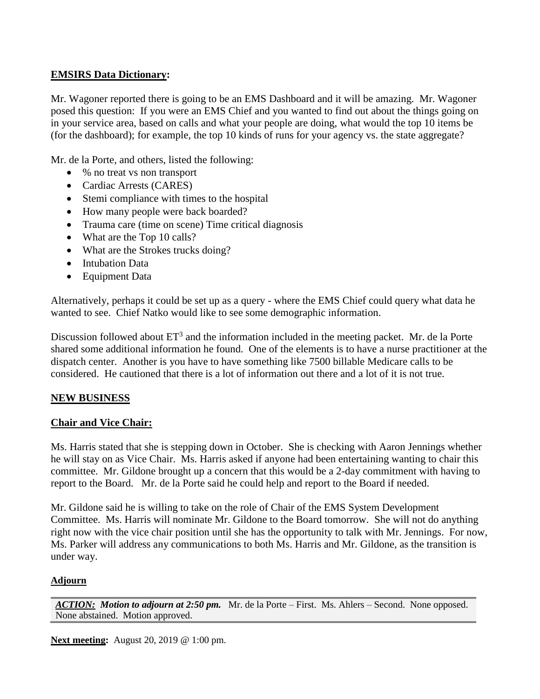# **EMSIRS Data Dictionary:**

Mr. Wagoner reported there is going to be an EMS Dashboard and it will be amazing. Mr. Wagoner posed this question: If you were an EMS Chief and you wanted to find out about the things going on in your service area, based on calls and what your people are doing, what would the top 10 items be (for the dashboard); for example, the top 10 kinds of runs for your agency vs. the state aggregate?

Mr. de la Porte, and others, listed the following:

- % no treat vs non transport
- Cardiac Arrests (CARES)
- Stemi compliance with times to the hospital
- How many people were back boarded?
- Trauma care (time on scene) Time critical diagnosis
- What are the Top 10 calls?
- What are the Strokes trucks doing?
- Intubation Data
- Equipment Data

Alternatively, perhaps it could be set up as a query - where the EMS Chief could query what data he wanted to see. Chief Natko would like to see some demographic information.

Discussion followed about  $ET^3$  and the information included in the meeting packet. Mr. de la Porte shared some additional information he found. One of the elements is to have a nurse practitioner at the dispatch center. Another is you have to have something like 7500 billable Medicare calls to be considered. He cautioned that there is a lot of information out there and a lot of it is not true.

# **NEW BUSINESS**

# **Chair and Vice Chair:**

Ms. Harris stated that she is stepping down in October. She is checking with Aaron Jennings whether he will stay on as Vice Chair. Ms. Harris asked if anyone had been entertaining wanting to chair this committee. Mr. Gildone brought up a concern that this would be a 2-day commitment with having to report to the Board. Mr. de la Porte said he could help and report to the Board if needed.

Mr. Gildone said he is willing to take on the role of Chair of the EMS System Development Committee. Ms. Harris will nominate Mr. Gildone to the Board tomorrow. She will not do anything right now with the vice chair position until she has the opportunity to talk with Mr. Jennings. For now, Ms. Parker will address any communications to both Ms. Harris and Mr. Gildone, as the transition is under way.

# **Adjourn**

*ACTION: Motion to adjourn at 2:50 pm.* Mr. de la Porte – First. Ms. Ahlers – Second. None opposed. None abstained. Motion approved.

**Next meeting:** August 20, 2019 @ 1:00 pm.